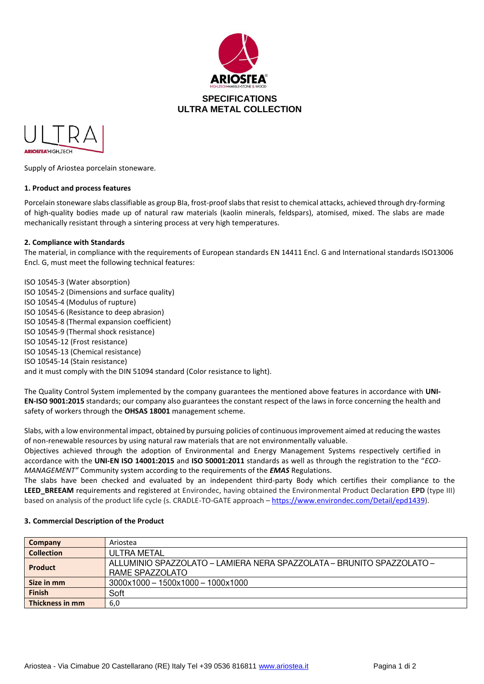



Supply of Ariostea porcelain stoneware.

### **1. Product and process features**

Porcelain stoneware slabs classifiable as group BIa, frost-proof slabs that resist to chemical attacks, achieved through dry-forming of high-quality bodies made up of natural raw materials (kaolin minerals, feldspars), atomised, mixed. The slabs are made mechanically resistant through a sintering process at very high temperatures.

### **2. Compliance with Standards**

The material, in compliance with the requirements of European standards EN 14411 Encl. G and International standards ISO13006 Encl. G, must meet the following technical features:

ISO 10545-3 (Water absorption) ISO 10545-2 (Dimensions and surface quality) ISO 10545-4 (Modulus of rupture) ISO 10545-6 (Resistance to deep abrasion) ISO 10545-8 (Thermal expansion coefficient) ISO 10545-9 (Thermal shock resistance) ISO 10545-12 (Frost resistance) ISO 10545-13 (Chemical resistance) ISO 10545-14 (Stain resistance) and it must comply with the DIN 51094 standard (Color resistance to light).

The Quality Control System implemented by the company guarantees the mentioned above features in accordance with **UNI-EN-ISO 9001:2015** standards; our company also guarantees the constant respect of the laws in force concerning the health and safety of workers through the **OHSAS 18001** management scheme.

Slabs, with a low environmental impact, obtained by pursuing policies of continuous improvement aimed at reducing the wastes of non-renewable resources by using natural raw materials that are not environmentally valuable.

Objectives achieved through the adoption of Environmental and Energy Management Systems respectively certified in accordance with the **UNI-EN ISO 14001:2015** and **ISO 50001:2011** standards as well as through the registration to the "*ECO-MANAGEMENT"* Community system according to the requirements of the *EMAS* Regulations.

The slabs have been checked and evaluated by an independent third-party Body which certifies their compliance to the **LEED\_BREEAM** requirements and registered at Environdec, having obtained the Environmental Product Declaration **EPD** (type III) based on analysis of the product life cycle (s. CRADLE-TO-GATE approach – [https://www.environdec.com/Detail/epd1439\)](https://urlsand.esvalabs.com/?u=https%3A%2F%2Fwww.environdec.com%2FDetail%2Fepd1439&e=fdbf7c53&h=e5b4a17b&f=y&p=y).

#### **Company Ariostea Collection ULTRA METAL** ALLUMINIO SPAZZOLATO - LAMIERA NERA SPAZZOLATA - BRUNITO SPAZZOLATO -**Product** RAME SPAZZOLATO **Size in mm**   $3000 \times 1000 - 1500 \times 1000 - 1000 \times 1000$ Soft **Finish Thickness in mm** 6,0

#### **3. Commercial Description of the Product**